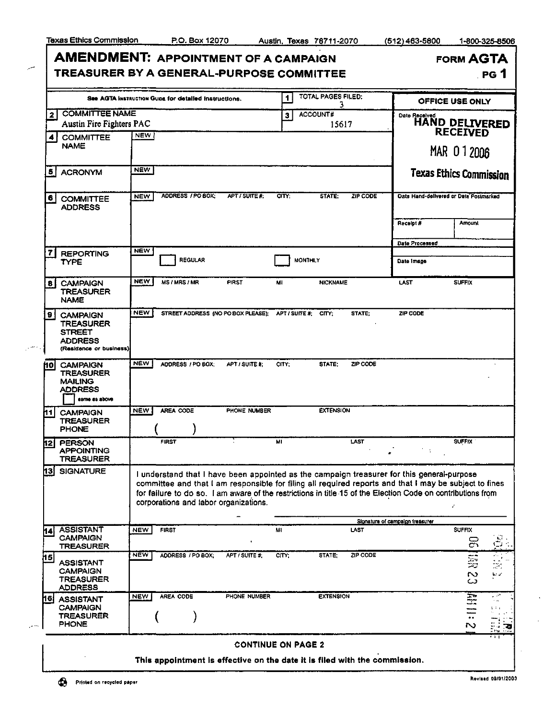مر

بتبرز

| īexas Ethics Commission                                                                          |            | P.O. Box 12070                                       |                | Austin, Texas 78711-2070 |                          |                 | (512) 463-5800 | 1-800-325-8506                         |
|--------------------------------------------------------------------------------------------------|------------|------------------------------------------------------|----------------|--------------------------|--------------------------|-----------------|----------------|----------------------------------------|
| <b>AMENDMENT: APPOINTMENT OF A CAMPAIGN</b><br>TREASURER BY A GENERAL-PURPOSE COMMITTEE          |            |                                                      |                |                          |                          |                 |                | <b>FORM AGTA</b><br>PG <sub>1</sub>    |
|                                                                                                  |            | See AGTA Instruction Gups for detailed instructions. |                | 1                        | TOTAL PAGES FILED:<br>3  |                 |                | OFFICE USE ONLY                        |
| <b>COMMITTEE NAME</b><br>21<br>Austin Fire Fighters PAC                                          |            |                                                      |                | 3                        | <b>ACCOUNT#</b><br>15617 |                 | Date Received  | HAND DELIVERED                         |
| <b>COMMITTEE</b><br>$\blacktriangleleft$                                                         | <b>NEW</b> |                                                      |                |                          |                          |                 |                | <b>RECEIVED</b>                        |
| <b>NAME</b>                                                                                      |            |                                                      |                |                          |                          |                 |                | MAR 012006                             |
| 5  <br><b>ACRONYM</b>                                                                            | <b>NEW</b> |                                                      |                |                          |                          |                 |                | <b>Texas Ethics Commission</b>         |
| 61<br><b>COMMITTEE</b><br><b>ADDRESS</b>                                                         | <b>NEW</b> | ADDRESS / PO BOX:                                    | APT / SUITE #: | <b>CITY</b>              | STATE:                   | <b>ZIP CODE</b> |                | Date Hand-delivered or Date Postmarked |
|                                                                                                  |            |                                                      |                |                          |                          |                 | Receipt #      | <b>Amount</b>                          |
|                                                                                                  |            |                                                      |                |                          |                          |                 | Date Processed |                                        |
| <b>REPORTING</b><br>TYPE                                                                         | <b>NEW</b> | <b>REGULAR</b>                                       |                | <b>MONTHLY</b>           |                          |                 | Date Image     |                                        |
| <b>CAMPAIGN</b><br>8<br><b>TREASURER</b><br><b>NAME</b>                                          | <b>NEW</b> | <b>MS/MRS/MR</b>                                     | <b>FIRST</b>   | MI                       | <b>NICKNAME</b>          |                 | LAST           | <b>SUFFIX</b>                          |
| 9.<br><b>CAMPAIGN</b><br>TREASURER<br><b>STREET</b><br><b>ADDRESS</b><br>(Residence or business) | <b>NEW</b> | STREET ADDRESS (NO PO BOX PLEASE):                   |                | APT/SUITE#: CITY:        |                          | STATE:          | ZIP CODE       |                                        |
| <b>CAMPAIGN</b><br><b>TREASURER</b><br><b>MAILING</b><br><b>ADDDECC</b>                          | <b>NEW</b> | ADDRESS / PO BOX:                                    | APT / SUITE #: | CITY.                    | STATE:                   | ZIP CODE        |                |                                        |

| hol             | <b>CAMPAIGN</b><br>TREASURER<br><b>MAILING</b><br><b>ADDRESS</b><br>same as above | NEW        | ADDRESS / PO BOX; | APT / SUITE #:                                                                                                                                  | CITY. | STATE:           | ZIP CODE                                                                                                    |                    |                                            |
|-----------------|-----------------------------------------------------------------------------------|------------|-------------------|-------------------------------------------------------------------------------------------------------------------------------------------------|-------|------------------|-------------------------------------------------------------------------------------------------------------|--------------------|--------------------------------------------|
| h1              | <b>CAMPAIGN</b><br>TREASURER                                                      | <b>NEW</b> | <b>AREA CODE</b>  | <b>PHONE NUMBER</b>                                                                                                                             |       | <b>EXTENSION</b> |                                                                                                             |                    |                                            |
|                 | <b>PHONE</b>                                                                      |            |                   |                                                                                                                                                 |       |                  |                                                                                                             |                    |                                            |
| 12              | <b>PERSON</b><br><b>APPOINTING</b><br><b>TREASURER</b>                            |            | <b>FIRST</b>      |                                                                                                                                                 | MI    |                  | LAST                                                                                                        | <b>SUFFIX</b>      |                                            |
| h3              | <b>SIGNATURE</b>                                                                  |            |                   |                                                                                                                                                 |       |                  | I understand that I have been appointed as the campaign treasurer for this general-purpose                  |                    |                                            |
|                 |                                                                                   |            |                   | committee and that I am responsible for filing all required reports and that I may be subject to fines<br>corporations and labor organizations. |       |                  | for failure to do so. I am aware of the restrictions in title 15 of the Election Code on contributions from |                    |                                            |
|                 |                                                                                   |            |                   |                                                                                                                                                 |       |                  | Slonature of campaign treasurer                                                                             |                    |                                            |
| h4              | <b>ASSISTANT</b><br><b>CAMPAIGN</b><br><b>TREASURER</b>                           | <b>NEW</b> | <b>FIRST</b>      |                                                                                                                                                 | MI    |                  | LAST                                                                                                        | <b>SUFFIX</b><br>몽 |                                            |
| $\overline{15}$ | <b>ASSISTANT</b><br><b>CAMPAIGN</b><br><b>TREASURER</b><br><b>ADDRESS</b>         | <b>NEW</b> | ADDRESS / PO BOX: | APT / SUITE #:                                                                                                                                  | CITY: | STATE:           | ZIP CODE                                                                                                    | 雲<br>$\sim$<br>ω   | at L<br>æ.<br>$\mathbf{b} \in \mathcal{S}$ |

## CONTINUE ON PAGE 2

This appointment is effective on the date it is filed with the commission.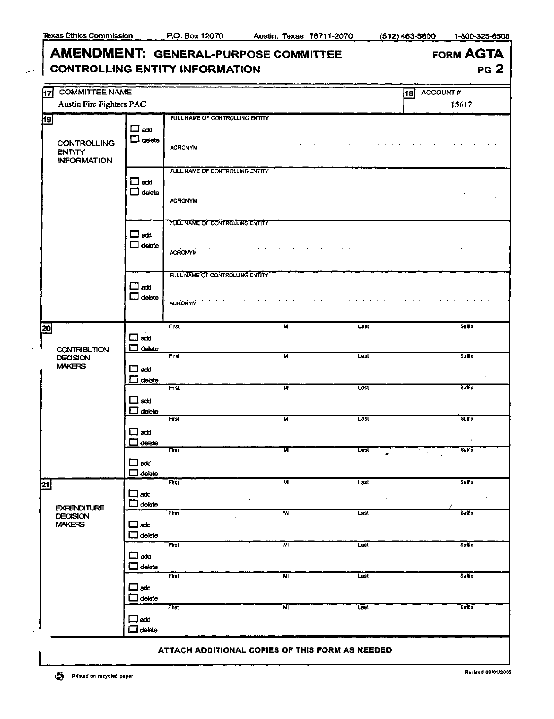## AMENDMENT: GENERAL-PURPOSE COMMITTEE CONTROLLING ENTITY INFORMATION

| <b>FORM AGTA</b> |  |
|------------------|--|
| <b>PG 2</b>      |  |

| Austin Fire Fighters PAC<br>15617<br>FULL NAME OF CONTROLLING ENTITY<br>19<br>$\square$ att<br>$\square$ delete<br><b>CONTROLLING</b><br><b>ACRONYM</b><br><b>ENTITY</b><br><b>INFORMATION</b><br>FULL NAME OF CONTROLLING ENTITY<br>$\square$ and<br>$\Box$ delete<br><b>ACRONYM</b><br>FULL NAME OF CONTROLLING ENTITY<br>$\square$ acti<br>$\square$ delete<br><b>ACRONYM</b><br>FULL NAME OF CONTROLLING ENTITY<br>$\square$ add<br>$\square$ delete<br><b>ACRONYM</b><br><b>First</b><br>$\overline{M}$<br>Lest<br>Suffix<br>$\square$ atd<br>$\Box$ delete<br><b>CONTRIBUTION</b><br>мï<br>First<br>Last<br><b>Suffix</b><br><b>DECISION</b><br><b>MAKERS</b><br>$\square$ add<br>$\Box$ delete<br>First<br>WL<br>Last<br>Suffix<br>$\Box$ add<br>$\Box$ delete<br>First<br>स्रा<br>Last<br><b>Suffix</b><br>⊟add<br>$\Box$ delete<br><b>Suffix</b><br><b>Flist</b><br>$\overline{\mathbf{M}}$<br>Last<br>÷<br>□¤¤¤<br>$\Box$ delete<br>First<br>ŃГ<br>Suffix<br>Last<br>$\Box$ add<br>٠<br>$\mathcal{L}_{\mathcal{C}}$<br>$\Box$ delete<br><b>EXPENDITURE</b><br>स्रा<br>First<br>Last<br>Suffix<br><b>DECISION</b><br>-<br><b>MAKERS</b><br>ᄆᅠᇏ<br>$\Box$ delete<br>First<br><b>Suffix</b><br>мī<br>$L$ ast<br>$\square$ add<br>$\Box$ delete<br>First<br>Suffix<br>MI<br>Last<br>ᄆᅠᆇ<br>$\Box$ delete<br>First<br><b>Suffix</b><br>МL<br>Last<br>$\Box$ add<br>$\Box$ delete | 17            | <b>COMMITTEE NAME</b> |  |  | ACCOUNT#<br>18 |
|---------------------------------------------------------------------------------------------------------------------------------------------------------------------------------------------------------------------------------------------------------------------------------------------------------------------------------------------------------------------------------------------------------------------------------------------------------------------------------------------------------------------------------------------------------------------------------------------------------------------------------------------------------------------------------------------------------------------------------------------------------------------------------------------------------------------------------------------------------------------------------------------------------------------------------------------------------------------------------------------------------------------------------------------------------------------------------------------------------------------------------------------------------------------------------------------------------------------------------------------------------------------------------------------------------------------------------------------------------------------------------------|---------------|-----------------------|--|--|----------------|
|                                                                                                                                                                                                                                                                                                                                                                                                                                                                                                                                                                                                                                                                                                                                                                                                                                                                                                                                                                                                                                                                                                                                                                                                                                                                                                                                                                                       |               |                       |  |  |                |
|                                                                                                                                                                                                                                                                                                                                                                                                                                                                                                                                                                                                                                                                                                                                                                                                                                                                                                                                                                                                                                                                                                                                                                                                                                                                                                                                                                                       |               |                       |  |  |                |
|                                                                                                                                                                                                                                                                                                                                                                                                                                                                                                                                                                                                                                                                                                                                                                                                                                                                                                                                                                                                                                                                                                                                                                                                                                                                                                                                                                                       |               |                       |  |  |                |
|                                                                                                                                                                                                                                                                                                                                                                                                                                                                                                                                                                                                                                                                                                                                                                                                                                                                                                                                                                                                                                                                                                                                                                                                                                                                                                                                                                                       |               |                       |  |  |                |
|                                                                                                                                                                                                                                                                                                                                                                                                                                                                                                                                                                                                                                                                                                                                                                                                                                                                                                                                                                                                                                                                                                                                                                                                                                                                                                                                                                                       |               |                       |  |  |                |
|                                                                                                                                                                                                                                                                                                                                                                                                                                                                                                                                                                                                                                                                                                                                                                                                                                                                                                                                                                                                                                                                                                                                                                                                                                                                                                                                                                                       |               |                       |  |  |                |
|                                                                                                                                                                                                                                                                                                                                                                                                                                                                                                                                                                                                                                                                                                                                                                                                                                                                                                                                                                                                                                                                                                                                                                                                                                                                                                                                                                                       | 20            |                       |  |  |                |
|                                                                                                                                                                                                                                                                                                                                                                                                                                                                                                                                                                                                                                                                                                                                                                                                                                                                                                                                                                                                                                                                                                                                                                                                                                                                                                                                                                                       |               |                       |  |  |                |
|                                                                                                                                                                                                                                                                                                                                                                                                                                                                                                                                                                                                                                                                                                                                                                                                                                                                                                                                                                                                                                                                                                                                                                                                                                                                                                                                                                                       |               |                       |  |  |                |
|                                                                                                                                                                                                                                                                                                                                                                                                                                                                                                                                                                                                                                                                                                                                                                                                                                                                                                                                                                                                                                                                                                                                                                                                                                                                                                                                                                                       |               |                       |  |  |                |
|                                                                                                                                                                                                                                                                                                                                                                                                                                                                                                                                                                                                                                                                                                                                                                                                                                                                                                                                                                                                                                                                                                                                                                                                                                                                                                                                                                                       |               |                       |  |  |                |
|                                                                                                                                                                                                                                                                                                                                                                                                                                                                                                                                                                                                                                                                                                                                                                                                                                                                                                                                                                                                                                                                                                                                                                                                                                                                                                                                                                                       |               |                       |  |  |                |
|                                                                                                                                                                                                                                                                                                                                                                                                                                                                                                                                                                                                                                                                                                                                                                                                                                                                                                                                                                                                                                                                                                                                                                                                                                                                                                                                                                                       |               |                       |  |  |                |
|                                                                                                                                                                                                                                                                                                                                                                                                                                                                                                                                                                                                                                                                                                                                                                                                                                                                                                                                                                                                                                                                                                                                                                                                                                                                                                                                                                                       | $\mathbf{21}$ |                       |  |  |                |
|                                                                                                                                                                                                                                                                                                                                                                                                                                                                                                                                                                                                                                                                                                                                                                                                                                                                                                                                                                                                                                                                                                                                                                                                                                                                                                                                                                                       |               |                       |  |  |                |
|                                                                                                                                                                                                                                                                                                                                                                                                                                                                                                                                                                                                                                                                                                                                                                                                                                                                                                                                                                                                                                                                                                                                                                                                                                                                                                                                                                                       |               |                       |  |  |                |
|                                                                                                                                                                                                                                                                                                                                                                                                                                                                                                                                                                                                                                                                                                                                                                                                                                                                                                                                                                                                                                                                                                                                                                                                                                                                                                                                                                                       |               |                       |  |  |                |
|                                                                                                                                                                                                                                                                                                                                                                                                                                                                                                                                                                                                                                                                                                                                                                                                                                                                                                                                                                                                                                                                                                                                                                                                                                                                                                                                                                                       |               |                       |  |  |                |

## ATTACH ADDITIONAL COPIES OF THIS FORM AS NEEDED